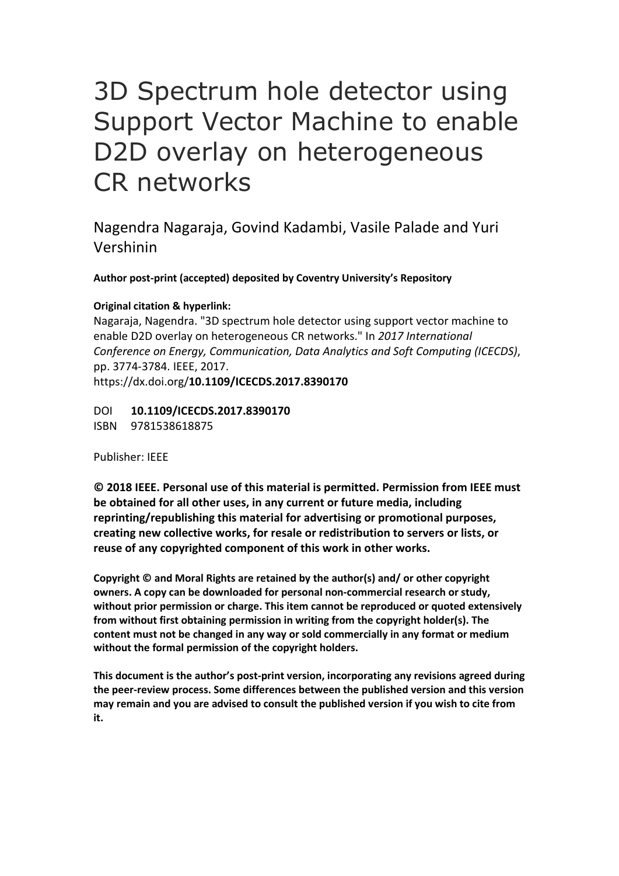# 3D Spectrum hole detector using Support Vector Machine to enable D2D overlay on heterogeneous CR networks

Nagendra Nagaraja, Govind Kadambi, Vasile Palade and Yuri Vershinin

**Author post-print (accepted) deposited by Coventry University's Repository**

### **Original citation & hyperlink:**

Nagaraja, Nagendra. "3D spectrum hole detector using support vector machine to enable D2D overlay on heterogeneous CR networks." In *2017 International Conference on Energy, Communication, Data Analytics and Soft Computing (ICECDS)*, pp. 3774-3784. IEEE, 2017. https://dx.doi.org/**10.1109/ICECDS.2017.8390170**

DOI **10.1109/ICECDS.2017.8390170** ISBN 9781538618875

Publisher: IEEE

**© 2018 IEEE. Personal use of this material is permitted. Permission from IEEE must be obtained for all other uses, in any current or future media, including reprinting/republishing this material for advertising or promotional purposes, creating new collective works, for resale or redistribution to servers or lists, or reuse of any copyrighted component of this work in other works.**

**Copyright © and Moral Rights are retained by the author(s) and/ or other copyright owners. A copy can be downloaded for personal non-commercial research or study, without prior permission or charge. This item cannot be reproduced or quoted extensively from without first obtaining permission in writing from the copyright holder(s). The content must not be changed in any way or sold commercially in any format or medium without the formal permission of the copyright holders.** 

**This document is the author's post-print version, incorporating any revisions agreed during the peer-review process. Some differences between the published version and this version may remain and you are advised to consult the published version if you wish to cite from it.**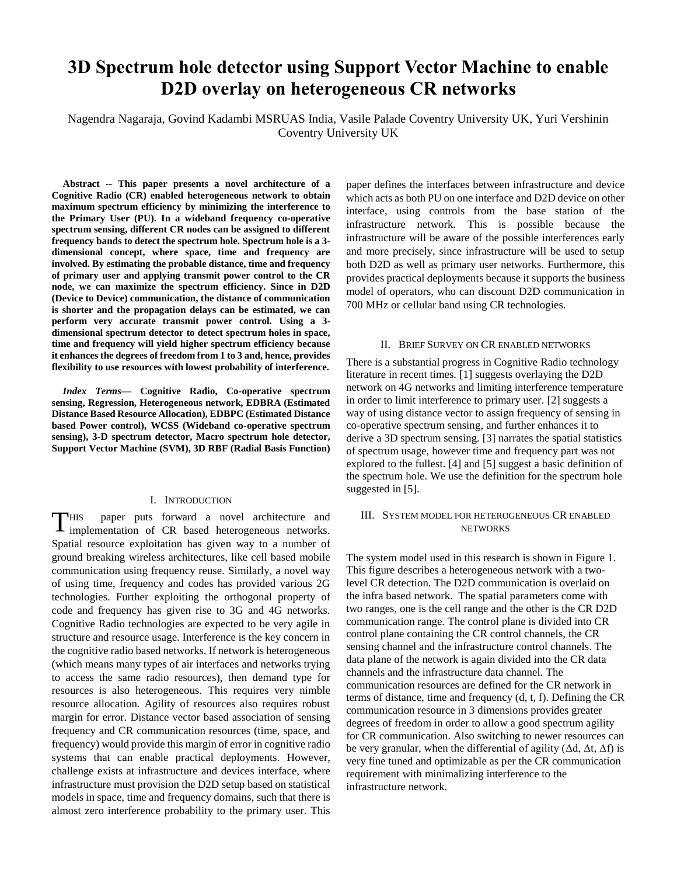## **3D Spectrum hole detector using Support Vector Machine to enable D2D overlay on heterogeneous CR networks**

Nagendra Nagaraja, Govind Kadambi MSRUAS India, Vasile Palade Coventry University UK, Yuri Vershinin Coventry University UK

**Abstract -- This paper presents a novel architecture of a Cognitive Radio (CR) enabled heterogeneous network to obtain maximum spectrum efficiency by minimizing the interference to the Primary User (PU). In a wideband frequency co-operative spectrum sensing, different CR nodes can be assigned to different frequency bands to detect the spectrum hole. Spectrum hole is a 3 dimensional concept, where space, time and frequency are involved. By estimating the probable distance, time and frequency of primary user and applying transmit power control to the CR node, we can maximize the spectrum efficiency. Since in D2D (Device to Device) communication, the distance of communication is shorter and the propagation delays can be estimated, we can perform very accurate transmit power control. Using a 3 dimensional spectrum detector to detect spectrum holes in space, time and frequency will yield higher spectrum efficiency because it enhances the degrees of freedom from 1 to 3 and, hence, provides flexibility to use resources with lowest probability of interference.**

*Index Terms***— Cognitive Radio, Co-operative spectrum sensing, Regression, Heterogeneous network, EDBRA (Estimated Distance Based Resource Allocation), EDBPC (Estimated Distance based Power control), WCSS (Wideband co-operative spectrum sensing), 3-D spectrum detector, Macro spectrum hole detector, Support Vector Machine (SVM), 3D RBF (Radial Basis Function)**

#### I. INTRODUCTION

HIS paper puts forward a novel architecture and THIS paper puts forward a novel architecture and implementation of CR based heterogeneous networks. Spatial resource exploitation has given way to a number of ground breaking wireless architectures, like cell based mobile communication using frequency reuse. Similarly, a novel way of using time, frequency and codes has provided various 2G technologies. Further exploiting the orthogonal property of code and frequency has given rise to 3G and 4G networks. Cognitive Radio technologies are expected to be very agile in structure and resource usage. Interference is the key concern in the cognitive radio based networks. If network is heterogeneous (which means many types of air interfaces and networks trying to access the same radio resources), then demand type for resources is also heterogeneous. This requires very nimble resource allocation. Agility of resources also requires robust margin for error. Distance vector based association of sensing frequency and CR communication resources (time, space, and frequency) would provide this margin of error in cognitive radio systems that can enable practical deployments. However, challenge exists at infrastructure and devices interface, where infrastructure must provision the D2D setup based on statistical models in space, time and frequency domains, such that there is almost zero interference probability to the primary user. This paper defines the interfaces between infrastructure and device which acts as both PU on one interface and D2D device on other interface, using controls from the base station of the infrastructure network. This is possible because the infrastructure will be aware of the possible interferences early and more precisely, since infrastructure will be used to setup both D2D as well as primary user networks. Furthermore, this provides practical deployments because it supports the business model of operators, who can discount D2D communication in 700 MHz or cellular band using CR technologies.

#### II. BRIEF SURVEY ON CR ENABLED NETWORKS

There is a substantial progress in Cognitive Radio technology literature in recent times. [1] suggests overlaying the D2D network on 4G networks and limiting interference temperature in order to limit interference to primary user. [2] suggests a way of using distance vector to assign frequency of sensing in co-operative spectrum sensing, and further enhances it to derive a 3D spectrum sensing. [3] narrates the spatial statistics of spectrum usage, however time and frequency part was not explored to the fullest. [4] and [5] suggest a basic definition of the spectrum hole. We use the definition for the spectrum hole suggested in [5].

#### III. SYSTEM MODEL FOR HETEROGENEOUS CR ENABLED **NETWORKS**

The system model used in this research is shown in Figure 1. This figure describes a heterogeneous network with a twolevel CR detection. The D2D communication is overlaid on the infra based network. The spatial parameters come with two ranges, one is the cell range and the other is the CR D2D communication range. The control plane is divided into CR control plane containing the CR control channels, the CR sensing channel and the infrastructure control channels. The data plane of the network is again divided into the CR data channels and the infrastructure data channel. The communication resources are defined for the CR network in terms of distance, time and frequency (d, t, f). Defining the CR communication resource in 3 dimensions provides greater degrees of freedom in order to allow a good spectrum agility for CR communication. Also switching to newer resources can be very granular, when the differential of agility  $(Δd, Δt, Δf)$  is very fine tuned and optimizable as per the CR communication requirement with minimalizing interference to the infrastructure network.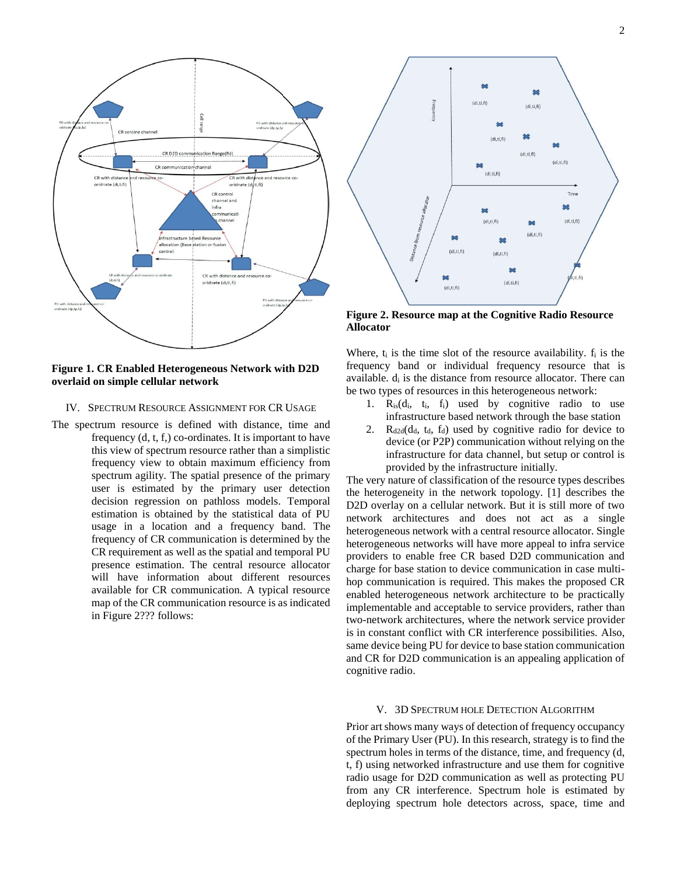



**Figure 1. CR Enabled Heterogeneous Network with D2D overlaid on simple cellular network**

#### IV. SPECTRUM RESOURCE ASSIGNMENT FOR CR USAGE

The spectrum resource is defined with distance, time and frequency (d, t, f,) co-ordinates. It is important to have this view of spectrum resource rather than a simplistic frequency view to obtain maximum efficiency from spectrum agility. The spatial presence of the primary user is estimated by the primary user detection decision regression on pathloss models. Temporal estimation is obtained by the statistical data of PU usage in a location and a frequency band. The frequency of CR communication is determined by the CR requirement as well as the spatial and temporal PU presence estimation. The central resource allocator will have information about different resources available for CR communication. A typical resource map of the CR communication resource is as indicated in Figure 2??? follows:



**Figure 2. Resource map at the Cognitive Radio Resource Allocator**

Where,  $t_i$  is the time slot of the resource availability.  $f_i$  is the frequency band or individual frequency resource that is available.  $d_i$  is the distance from resource allocator. There can be two types of resources in this heterogeneous network:

- 1.  $R_{is}(d_i, t_i, f_i)$  used by cognitive radio to use infrastructure based network through the base station
- 2.  $R_{d2d}(d_d, t_d, f_d)$  used by cognitive radio for device to device (or P2P) communication without relying on the infrastructure for data channel, but setup or control is provided by the infrastructure initially.

The very nature of classification of the resource types describes the heterogeneity in the network topology. [1] describes the D2D overlay on a cellular network. But it is still more of two network architectures and does not act as a single heterogeneous network with a central resource allocator. Single heterogeneous networks will have more appeal to infra service providers to enable free CR based D2D communication and charge for base station to device communication in case multihop communication is required. This makes the proposed CR enabled heterogeneous network architecture to be practically implementable and acceptable to service providers, rather than two-network architectures, where the network service provider is in constant conflict with CR interference possibilities. Also, same device being PU for device to base station communication and CR for D2D communication is an appealing application of cognitive radio.

#### V. 3D SPECTRUM HOLE DETECTION ALGORITHM

Prior art shows many ways of detection of frequency occupancy of the Primary User (PU). In this research, strategy is to find the spectrum holes in terms of the distance, time, and frequency (d, t, f) using networked infrastructure and use them for cognitive radio usage for D2D communication as well as protecting PU from any CR interference. Spectrum hole is estimated by deploying spectrum hole detectors across, space, time and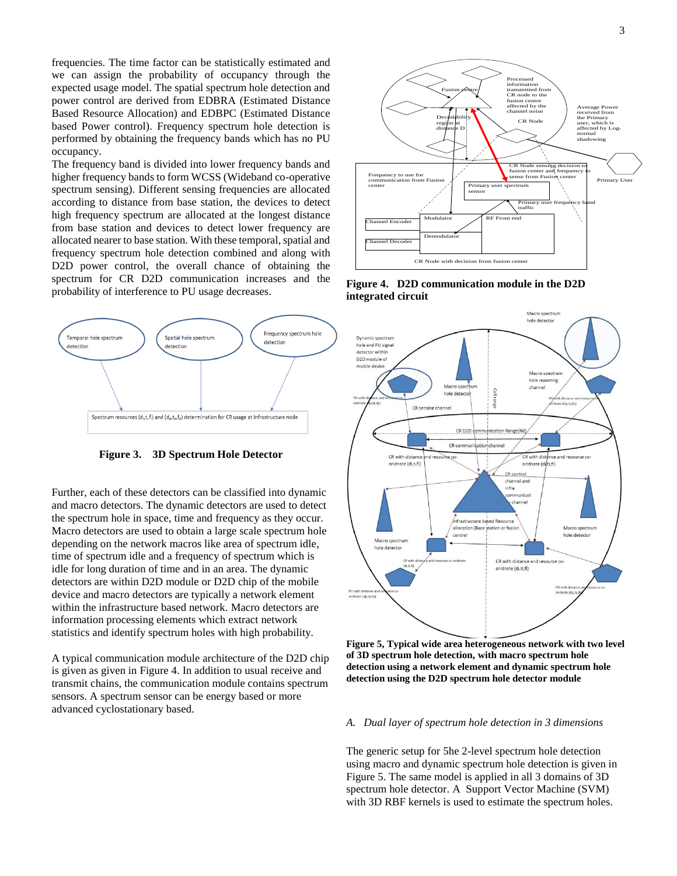frequencies. The time factor can be statistically estimated and we can assign the probability of occupancy through the expected usage model. The spatial spectrum hole detection and power control are derived from EDBRA (Estimated Distance Based Resource Allocation) and EDBPC (Estimated Distance based Power control). Frequency spectrum hole detection is performed by obtaining the frequency bands which has no PU occupancy.

The frequency band is divided into lower frequency bands and higher frequency bands to form WCSS (Wideband co-operative spectrum sensing). Different sensing frequencies are allocated according to distance from base station, the devices to detect high frequency spectrum are allocated at the longest distance from base station and devices to detect lower frequency are allocated nearer to base station. With these temporal, spatial and frequency spectrum hole detection combined and along with D2D power control, the overall chance of obtaining the spectrum for CR D2D communication increases and the probability of interference to PU usage decreases.



**Figure 3. 3D Spectrum Hole Detector**

Further, each of these detectors can be classified into dynamic and macro detectors. The dynamic detectors are used to detect the spectrum hole in space, time and frequency as they occur. Macro detectors are used to obtain a large scale spectrum hole depending on the network macros like area of spectrum idle, time of spectrum idle and a frequency of spectrum which is idle for long duration of time and in an area. The dynamic detectors are within D2D module or D2D chip of the mobile device and macro detectors are typically a network element within the infrastructure based network. Macro detectors are information processing elements which extract network statistics and identify spectrum holes with high probability.

A typical communication module architecture of the D2D chip is given as given in Figure 4. In addition to usual receive and transmit chains, the communication module contains spectrum sensors. A spectrum sensor can be energy based or more advanced cyclostationary based.



**Figure 4. D2D communication module in the D2D integrated circuit**



**Figure 5, Typical wide area heterogeneous network with two level of 3D spectrum hole detection, with macro spectrum hole detection using a network element and dynamic spectrum hole detection using the D2D spectrum hole detector module**

#### *A. Dual layer of spectrum hole detection in 3 dimensions*

The generic setup for 5he 2-level spectrum hole detection using macro and dynamic spectrum hole detection is given in Figure 5. The same model is applied in all 3 domains of 3D spectrum hole detector. A Support Vector Machine (SVM) with 3D RBF kernels is used to estimate the spectrum holes.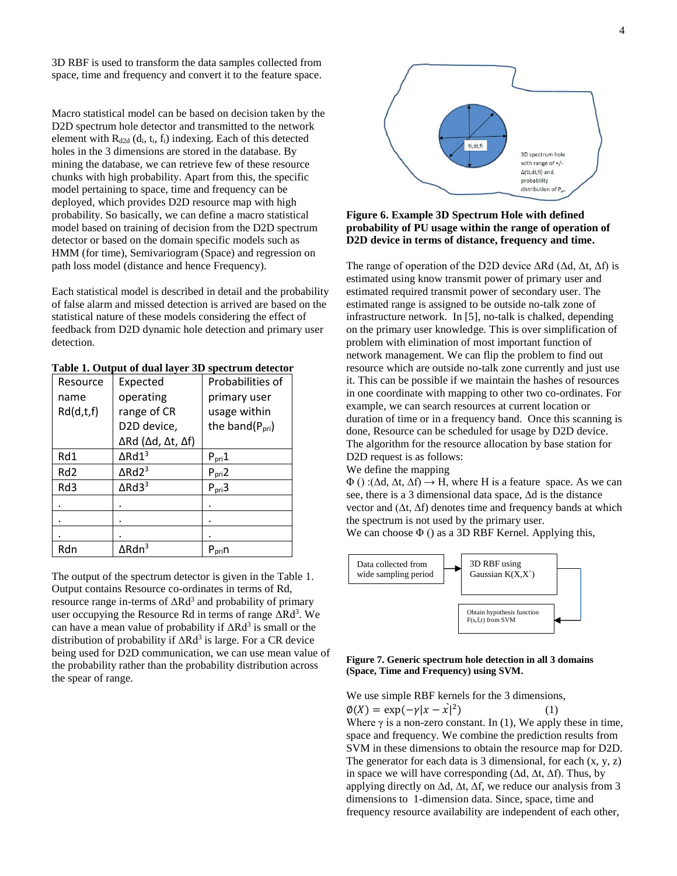3D RBF is used to transform the data samples collected from space, time and frequency and convert it to the feature space.

Macro statistical model can be based on decision taken by the D2D spectrum hole detector and transmitted to the network element with  $R_{d2d}$  (d<sub>i</sub>, t<sub>i</sub>, f<sub>i</sub>) indexing. Each of this detected holes in the 3 dimensions are stored in the database. By mining the database, we can retrieve few of these resource chunks with high probability. Apart from this, the specific model pertaining to space, time and frequency can be deployed, which provides D2D resource map with high probability. So basically, we can define a macro statistical model based on training of decision from the D2D spectrum detector or based on the domain specific models such as HMM (for time), Semivariogram (Space) and regression on path loss model (distance and hence Frequency).

Each statistical model is described in detail and the probability of false alarm and missed detection is arrived are based on the statistical nature of these models considering the effect of feedback from D2D dynamic hole detection and primary user detection.

| Resource        | Expected                                          | Probabilities of            |
|-----------------|---------------------------------------------------|-----------------------------|
| name            | operating                                         | primary user                |
| Rd(d,t,f)       | range of CR                                       | usage within                |
|                 | D2D device,                                       | the band(P <sub>pri</sub> ) |
|                 | $\Delta$ Rd ( $\Delta$ d, $\Delta$ t, $\Delta$ f) |                             |
| Rd1             | $\Delta$ Rd $1^3$                                 | $P_{pri}1$                  |
| Rd <sub>2</sub> | $\Delta$ Rd2 <sup>3</sup>                         | $P_{pri}$ 2                 |
| Rd3             | $\Delta$ Rd3 <sup>3</sup>                         | P <sub>pri</sub> 3          |
|                 |                                                   |                             |
|                 |                                                   |                             |
|                 |                                                   |                             |
| Rdn             | $\Delta$ Rdn <sup>3</sup>                         | $P_{\text{pri}}$ n          |

|  | Table 1. Output of dual layer 3D spectrum detector |
|--|----------------------------------------------------|
|--|----------------------------------------------------|

The output of the spectrum detector is given in the Table 1. Output contains Resource co-ordinates in terms of Rd, resource range in-terms of  $\Delta \text{Rd}^3$  and probability of primary user occupying the Resource Rd in terms of range  $\Delta$ Rd<sup>3</sup>. We can have a mean value of probability if  $\Delta \text{Rd}^3$  is small or the distribution of probability if  $ΔRd<sup>3</sup>$  is large. For a CR device being used for D2D communication, we can use mean value of the probability rather than the probability distribution across the spear of range.



#### **Figure 6. Example 3D Spectrum Hole with defined probability of PU usage within the range of operation of D2D device in terms of distance, frequency and time.**

The range of operation of the D2D device  $\Delta$ Rd ( $\Delta$ d,  $\Delta$ t,  $\Delta$ f) is estimated using know transmit power of primary user and estimated required transmit power of secondary user. The estimated range is assigned to be outside no-talk zone of infrastructure network. In [5], no-talk is chalked, depending on the primary user knowledge. This is over simplification of problem with elimination of most important function of network management. We can flip the problem to find out resource which are outside no-talk zone currently and just use it. This can be possible if we maintain the hashes of resources in one coordinate with mapping to other two co-ordinates. For example, we can search resources at current location or duration of time or in a frequency band. Once this scanning is done, Resource can be scheduled for usage by D2D device. The algorithm for the resource allocation by base station for D2D request is as follows:

We define the mapping

 $\Phi$  () :( $\Delta d$ ,  $\Delta t$ ,  $\Delta f$ )  $\rightarrow$  H, where H is a feature space. As we can see, there is a 3 dimensional data space, ∆d is the distance vector and (∆t, ∆f) denotes time and frequency bands at which the spectrum is not used by the primary user.

We can choose  $\Phi$  () as a 3D RBF Kernel. Applying this,



#### **Figure 7. Generic spectrum hole detection in all 3 domains (Space, Time and Frequency) using SVM.**

We use simple RBF kernels for the 3 dimensions,

 $\phi(X) = \exp(-\gamma |x - \hat{x}|^2)$  $(1)$ Where  $\gamma$  is a non-zero constant. In (1), We apply these in time, space and frequency. We combine the prediction results from SVM in these dimensions to obtain the resource map for D2D. The generator for each data is 3 dimensional, for each  $(x, y, z)$ in space we will have corresponding (∆d, ∆t, ∆f). Thus, by applying directly on ∆d, ∆t, ∆f, we reduce our analysis from 3 dimensions to 1-dimension data. Since, space, time and frequency resource availability are independent of each other,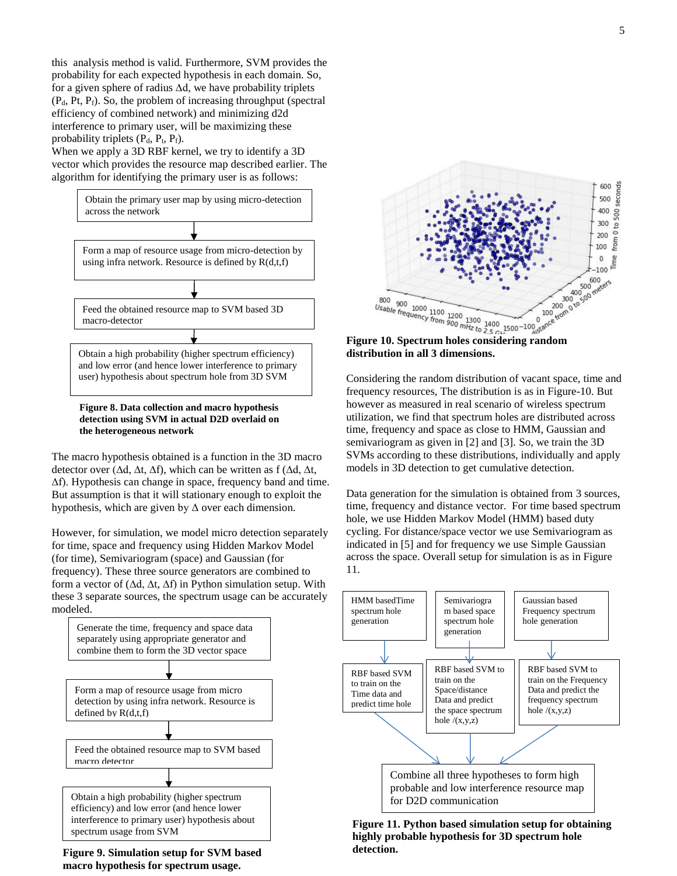this analysis method is valid. Furthermore, SVM provides the probability for each expected hypothesis in each domain. So, for a given sphere of radius ∆d, we have probability triplets  $(P_d, Pt, P_f)$ . So, the problem of increasing throughput (spectral efficiency of combined network) and minimizing d2d interference to primary user, will be maximizing these probability triplets  $(P_d, P_t, P_f)$ .

When we apply a 3D RBF kernel, we try to identify a 3D vector which provides the resource map described earlier. The algorithm for identifying the primary user is as follows:



**Figure 8. Data collection and macro hypothesis detection using SVM in actual D2D overlaid on the heterogeneous network**

The macro hypothesis obtained is a function in the 3D macro detector over (∆d, ∆t, ∆f), which can be written as f (∆d, ∆t, ∆f). Hypothesis can change in space, frequency band and time. But assumption is that it will stationary enough to exploit the hypothesis, which are given by  $\Delta$  over each dimension.

However, for simulation, we model micro detection separately for time, space and frequency using Hidden Markov Model (for time), Semivariogram (space) and Gaussian (for frequency). These three source generators are combined to form a vector of (∆d, ∆t, ∆f) in Python simulation setup. With these 3 separate sources, the spectrum usage can be accurately modeled.



**Figure 9. Simulation setup for SVM based macro hypothesis for spectrum usage.**



**distribution in all 3 dimensions.**

Considering the random distribution of vacant space, time and frequency resources, The distribution is as in Figure-10. But however as measured in real scenario of wireless spectrum utilization, we find that spectrum holes are distributed across time, frequency and space as close to HMM, Gaussian and semivariogram as given in [2] and [3]. So, we train the 3D SVMs according to these distributions, individually and apply models in 3D detection to get cumulative detection.

Data generation for the simulation is obtained from 3 sources, time, frequency and distance vector. For time based spectrum hole, we use Hidden Markov Model (HMM) based duty cycling. For distance/space vector we use Semivariogram as indicated in [5] and for frequency we use Simple Gaussian across the space. Overall setup for simulation is as in Figure 11.



**Figure 11. Python based simulation setup for obtaining highly probable hypothesis for 3D spectrum hole detection.**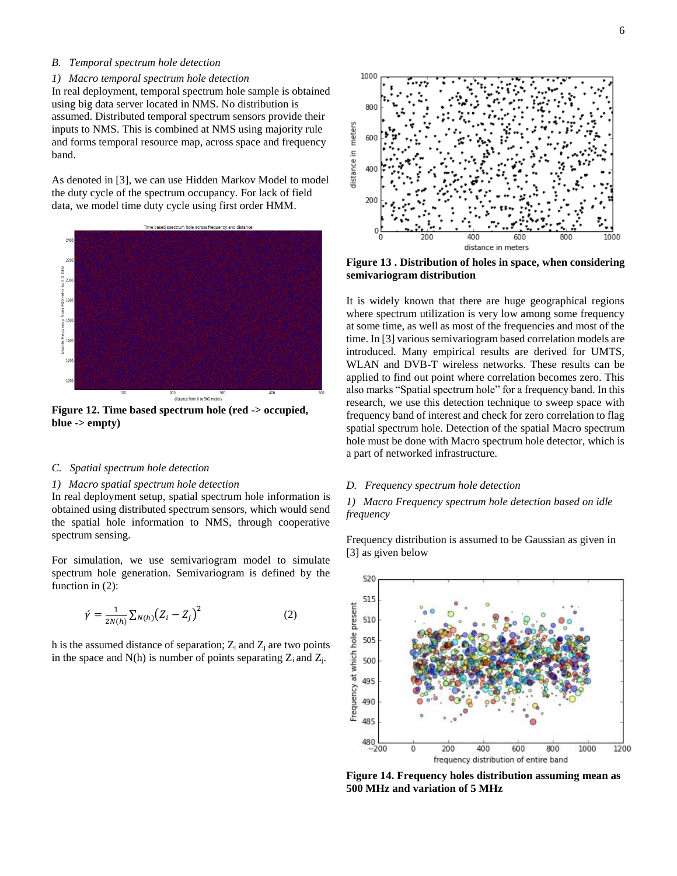#### *B. Temporal spectrum hole detection*

#### *1) Macro temporal spectrum hole detection*

In real deployment, temporal spectrum hole sample is obtained using big data server located in NMS. No distribution is assumed. Distributed temporal spectrum sensors provide their inputs to NMS. This is combined at NMS using majority rule and forms temporal resource map, across space and frequency band.

As denoted in [3], we can use Hidden Markov Model to model the duty cycle of the spectrum occupancy. For lack of field data, we model time duty cycle using first order HMM.



**Figure 12. Time based spectrum hole (red -> occupied, blue -> empty)**

#### *C. Spatial spectrum hole detection*

#### *1) Macro spatial spectrum hole detection*

In real deployment setup, spatial spectrum hole information is obtained using distributed spectrum sensors, which would send the spatial hole information to NMS, through cooperative spectrum sensing.

For simulation, we use semivariogram model to simulate spectrum hole generation. Semivariogram is defined by the function in (2):

$$
\acute{\gamma} = \frac{1}{2N(h)} \sum_{N(h)} (Z_i - Z_j)^2
$$
\n(2)

h is the assumed distance of separation;  $Z_i$  and  $Z_j$  are two points in the space and  $N(h)$  is number of points separating  $Z_i$  and  $Z_i$ .



**Figure 13 . Distribution of holes in space, when considering semivariogram distribution**

It is widely known that there are huge geographical regions where spectrum utilization is very low among some frequency at some time, as well as most of the frequencies and most of the time. In [3] various semivariogram based correlation models are introduced. Many empirical results are derived for UMTS, WLAN and DVB-T wireless networks. These results can be applied to find out point where correlation becomes zero. This also marks "Spatial spectrum hole" for a frequency band. In this research, we use this detection technique to sweep space with frequency band of interest and check for zero correlation to flag spatial spectrum hole. Detection of the spatial Macro spectrum hole must be done with Macro spectrum hole detector, which is a part of networked infrastructure.

#### *D. Frequency spectrum hole detection*

*1) Macro Frequency spectrum hole detection based on idle frequency*

Frequency distribution is assumed to be Gaussian as given in [3] as given below



**Figure 14. Frequency holes distribution assuming mean as 500 MHz and variation of 5 MHz**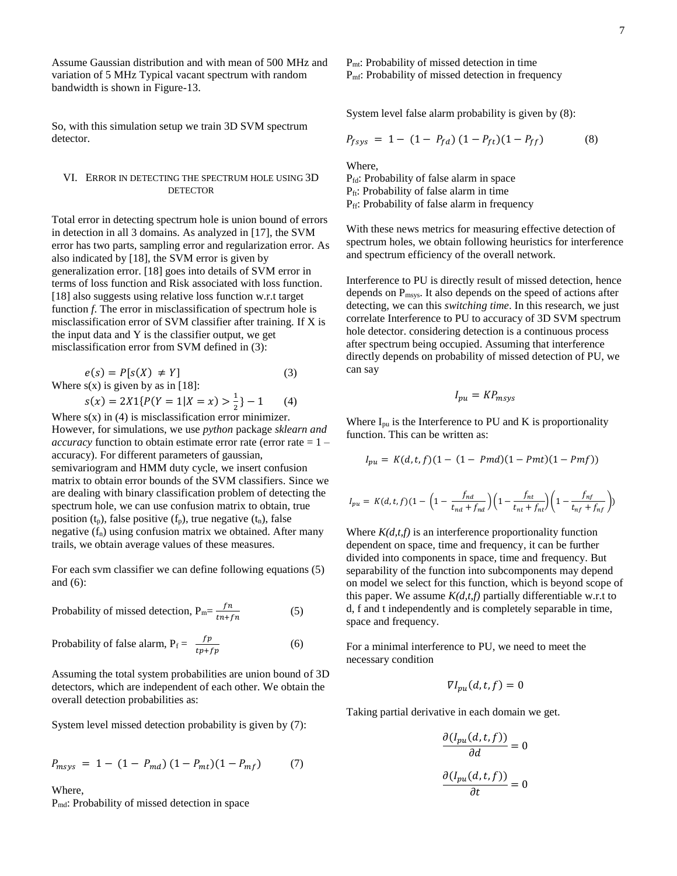Assume Gaussian distribution and with mean of 500 MHz and variation of 5 MHz Typical vacant spectrum with random bandwidth is shown in Figure-13.

So, with this simulation setup we train 3D SVM spectrum detector.

#### VI. ERROR IN DETECTING THE SPECTRUM HOLE USING 3D **DETECTOR**

Total error in detecting spectrum hole is union bound of errors in detection in all 3 domains. As analyzed in [17], the SVM error has two parts, sampling error and regularization error. As also indicated by [18], the SVM error is given by generalization error. [18] goes into details of SVM error in terms of loss function and Risk associated with loss function. [18] also suggests using relative loss function w.r.t target function *f*. The error in misclassification of spectrum hole is misclassification error of SVM classifier after training. If X is the input data and Y is the classifier output, we get misclassification error from SVM defined in (3):

$$
e(s) = P[s(X) \neq Y]
$$
(3)  
Where s(x) is given by as in [18]:  

$$
s(x) = 2X1\{P(Y = 1|X = x) > \frac{1}{2}\} - 1
$$
(4)

Where  $s(x)$  in (4) is misclassification error minimizer. However, for simulations, we use *python* package *sklearn and accuracy* function to obtain estimate error rate (error rate = 1 – accuracy). For different parameters of gaussian, semivariogram and HMM duty cycle, we insert confusion matrix to obtain error bounds of the SVM classifiers. Since we are dealing with binary classification problem of detecting the spectrum hole, we can use confusion matrix to obtain, true position  $(t_p)$ , false positive  $(f_p)$ , true negative  $(t_n)$ , false negative  $(f_n)$  using confusion matrix we obtained. After many trails, we obtain average values of these measures.

For each svm classifier we can define following equations (5) and (6):

Probability of missed detection,  $P_m = \frac{fn}{n+1}$  $tn+fn$ (5)

Probability of false alarm,  $P_f = \frac{fp}{4\pi\epsilon_0}$  $tp + fp$ (6)

Assuming the total system probabilities are union bound of 3D detectors, which are independent of each other. We obtain the overall detection probabilities as:

System level missed detection probability is given by (7):

$$
P_{msys} = 1 - (1 - P_{md}) (1 - P_{mt}) (1 - P_{mf})
$$
 (7)

Where, Pmd: Probability of missed detection in space P<sub>mt</sub>: Probability of missed detection in time P<sub>mf</sub>: Probability of missed detection in frequency

System level false alarm probability is given by (8):

$$
P_{fsys} = 1 - (1 - P_{fd}) (1 - P_{ff}) (1 - P_{ff})
$$
 (8)

Where,

Pfd: Probability of false alarm in space Pft: Probability of false alarm in time P<sub>ff</sub>: Probability of false alarm in frequency

With these news metrics for measuring effective detection of spectrum holes, we obtain following heuristics for interference and spectrum efficiency of the overall network.

Interference to PU is directly result of missed detection, hence depends on  $P_{\text{msys}}$ . It also depends on the speed of actions after detecting, we can this *switching time*. In this research, we just correlate Interference to PU to accuracy of 3D SVM spectrum hole detector. considering detection is a continuous process after spectrum being occupied. Assuming that interference directly depends on probability of missed detection of PU, we can say

$$
I_{pu} = KP_{msys}
$$

Where  $I_{\text{pu}}$  is the Interference to PU and K is proportionality function. This can be written as:

$$
I_{pu} = K(d, t, f)(1 - (1 - Pmd)(1 - Pmt)(1 - Pmf))
$$

$$
I_{pu} = K(d,t,f)(1-\bigg(1-\frac{f_{nd}}{t_{nd}+f_{nd}}\bigg)\bigg(1-\frac{f_{nt}}{t_{nt}+f_{nt}}\bigg)\bigg(1-\frac{f_{nf}}{t_{nf}+f_{nf}}\bigg)\bigg)
$$

Where  $K(d,t,f)$  is an interference proportionality function dependent on space, time and frequency, it can be further divided into components in space, time and frequency. But separability of the function into subcomponents may depend on model we select for this function, which is beyond scope of this paper. We assume  $K(d,t,f)$  partially differentiable w.r.t to d, f and t independently and is completely separable in time, space and frequency.

For a minimal interference to PU, we need to meet the necessary condition

$$
\nabla I_{pu}(d, t, f) = 0
$$

Taking partial derivative in each domain we get.

$$
\frac{\partial (I_{pu}(d, t, f))}{\partial d} = 0
$$

$$
\frac{\partial (I_{pu}(d, t, f))}{\partial t} = 0
$$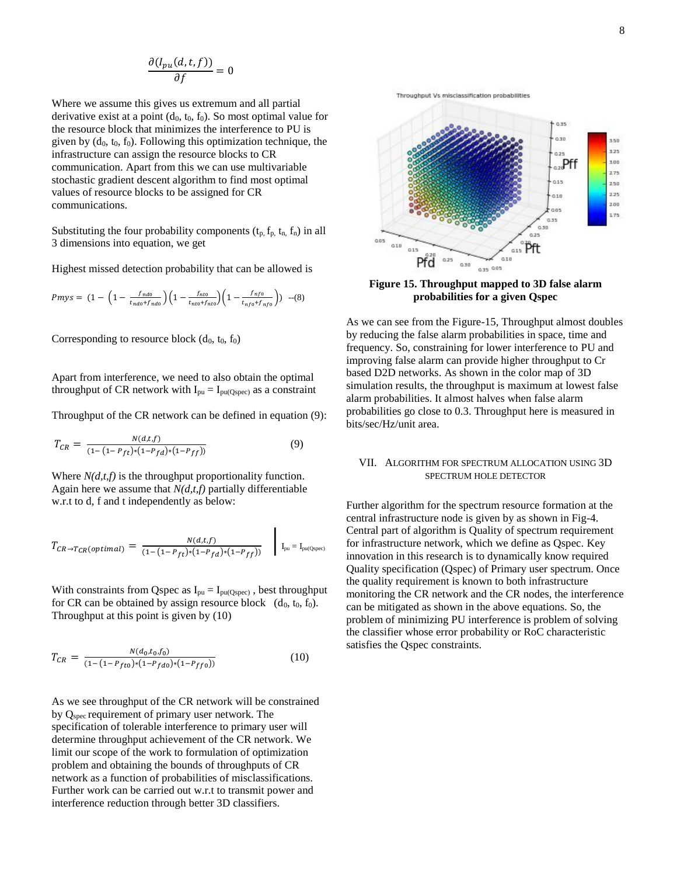$$
\frac{\partial (I_{pu}(d,t,f))}{\partial f}=0
$$

Where we assume this gives us extremum and all partial derivative exist at a point  $(d_0, t_0, f_0)$ . So most optimal value for the resource block that minimizes the interference to PU is given by  $(d_0, t_0, f_0)$ . Following this optimization technique, the infrastructure can assign the resource blocks to CR communication. Apart from this we can use multivariable stochastic gradient descent algorithm to find most optimal values of resource blocks to be assigned for CR communications.

Substituting the four probability components  $(t_p, f_p, t_n, f_n)$  in all 3 dimensions into equation, we get

Highest missed detection probability that can be allowed is

$$
Pmys = (1 - \left(1 - \frac{f_{nt0}}{t_{nt0} + f_{nt0}}\right) \left(1 - \frac{f_{nt0}}{t_{nt0} + f_{nt0}}\right) \left(1 - \frac{f_{nt0}}{t_{nt0} + f_{nt0}}\right))
$$
 -(8)

Corresponding to resource block  $(d_0, t_0, f_0)$ 

Apart from interference, we need to also obtain the optimal throughput of CR network with  $I_{pu} = I_{pu(Qspec)}$  as a constraint

Throughput of the CR network can be defined in equation (9):

$$
T_{CR} = \frac{N(d,t,f)}{(1 - (1 - P_{ft}) * (1 - P_{fd}) * (1 - P_{ff}))}
$$
(9)

Where  $N(d,t,f)$  is the throughput proportionality function. Again here we assume that *N(d,t,f)* partially differentiable w.r.t to d, f and t independently as below:

$$
T_{CR \to T_{CR}(optimal)} = \frac{N(d,t,f)}{(1 - (1 - P_{ft}) * (1 - P_{fd}) * (1 - P_{ff}))} \quad \bigg| \quad I_{pu} = I_{pu(Qspec)}
$$

With constraints from Qspec as  $I_{pu} = I_{pu(Qspec)}$ , best throughput for CR can be obtained by assign resource block  $(d_0, t_0, f_0)$ . Throughput at this point is given by (10)

$$
T_{CR} = \frac{N(d_0, t_0, f_0)}{(1 - (1 - P_{ft0}) * (1 - P_{fd0}) * (1 - P_{ff0}))}
$$
(10)

As we see throughput of the CR network will be constrained by Qspec requirement of primary user network. The specification of tolerable interference to primary user will determine throughput achievement of the CR network. We limit our scope of the work to formulation of optimization problem and obtaining the bounds of throughputs of CR network as a function of probabilities of misclassifications. Further work can be carried out w.r.t to transmit power and interference reduction through better 3D classifiers.



**Figure 15. Throughput mapped to 3D false alarm probabilities for a given Qspec**

As we can see from the Figure-15, Throughput almost doubles by reducing the false alarm probabilities in space, time and frequency. So, constraining for lower interference to PU and improving false alarm can provide higher throughput to Cr based D2D networks. As shown in the color map of 3D simulation results, the throughput is maximum at lowest false alarm probabilities. It almost halves when false alarm probabilities go close to 0.3. Throughput here is measured in bits/sec/Hz/unit area.

#### VII. ALGORITHM FOR SPECTRUM ALLOCATION USING 3D SPECTRUM HOLE DETECTOR

Further algorithm for the spectrum resource formation at the central infrastructure node is given by as shown in Fig-4. Central part of algorithm is Quality of spectrum requirement for infrastructure network, which we define as Qspec. Key innovation in this research is to dynamically know required Quality specification (Qspec) of Primary user spectrum. Once the quality requirement is known to both infrastructure monitoring the CR network and the CR nodes, the interference can be mitigated as shown in the above equations. So, the problem of minimizing PU interference is problem of solving the classifier whose error probability or RoC characteristic satisfies the Qspec constraints.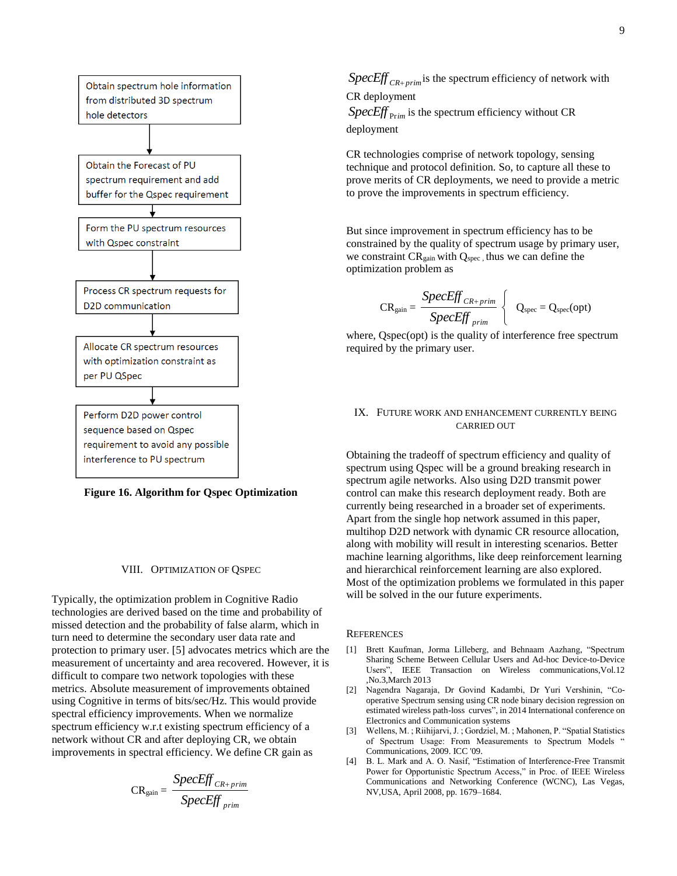

**Figure 16. Algorithm for Qspec Optimization**

#### VIII. OPTIMIZATION OF QSPEC

Typically, the optimization problem in Cognitive Radio technologies are derived based on the time and probability of missed detection and the probability of false alarm, which in turn need to determine the secondary user data rate and protection to primary user. [5] advocates metrics which are the measurement of uncertainty and area recovered. However, it is difficult to compare two network topologies with these metrics. Absolute measurement of improvements obtained using Cognitive in terms of bits/sec/Hz. This would provide spectral efficiency improvements. When we normalize spectrum efficiency w.r.t existing spectrum efficiency of a network without CR and after deploying CR, we obtain improvements in spectral efficiency. We define CR gain as

$$
CR_{gain} = \frac{SpecEff_{CR+prim}}{SpecEff_{prim}}
$$

 $SpecEff_{CR+prim}$  is the spectrum efficiency of network with CR deployment

*SpecEff* <sub>Prim</sub> is the spectrum efficiency without CR deployment

CR technologies comprise of network topology, sensing technique and protocol definition. So, to capture all these to prove merits of CR deployments, we need to provide a metric to prove the improvements in spectrum efficiency.

But since improvement in spectrum efficiency has to be constrained by the quality of spectrum usage by primary user, we constraint CR<sub>gain</sub> with Q<sub>spec</sub>, thus we can define the optimization problem as

$$
CR_{gain} = \frac{SpecEff_{CR+prim}}{SpecEff_{prim}} \left\{ Q_{spec} = Q_{spec}(opt) \right\}
$$

where,  $Ospec(opt)$  is the quality of interference free spectrum required by the primary user.

#### IX. FUTURE WORK AND ENHANCEMENT CURRENTLY BEING CARRIED OUT

Obtaining the tradeoff of spectrum efficiency and quality of spectrum using Qspec will be a ground breaking research in spectrum agile networks. Also using D2D transmit power control can make this research deployment ready. Both are currently being researched in a broader set of experiments. Apart from the single hop network assumed in this paper, multihop D2D network with dynamic CR resource allocation, along with mobility will result in interesting scenarios. Better machine learning algorithms, like deep reinforcement learning and hierarchical reinforcement learning are also explored. Most of the optimization problems we formulated in this paper will be solved in the our future experiments.

#### **REFERENCES**

- [1] Brett Kaufman, Jorma Lilleberg, and Behnaam Aazhang, "Spectrum Sharing Scheme Between Cellular Users and Ad-hoc Device-to-Device Users", IEEE Transaction on Wireless communications,Vol.12 ,No.3,March 2013
- [2] Nagendra Nagaraja, Dr Govind Kadambi, Dr Yuri Vershinin, "Cooperative Spectrum sensing using CR node binary decision regression on estimated wireless path-loss curves", in 2014 International conference on Electronics and Communication systems
- [3] Wellens, M. ; Riihijarvi, J. ; Gordziel, M. ; Mahonen, P. "Spatial Statistics of Spectrum Usage: From Measurements to Spectrum Models " Communications, 2009. ICC '09.
- [4] B. L. Mark and A. O. Nasif, "Estimation of Interference-Free Transmit Power for Opportunistic Spectrum Access," in Proc. of IEEE Wireless Communications and Networking Conference (WCNC), Las Vegas, NV,USA, April 2008, pp. 1679–1684.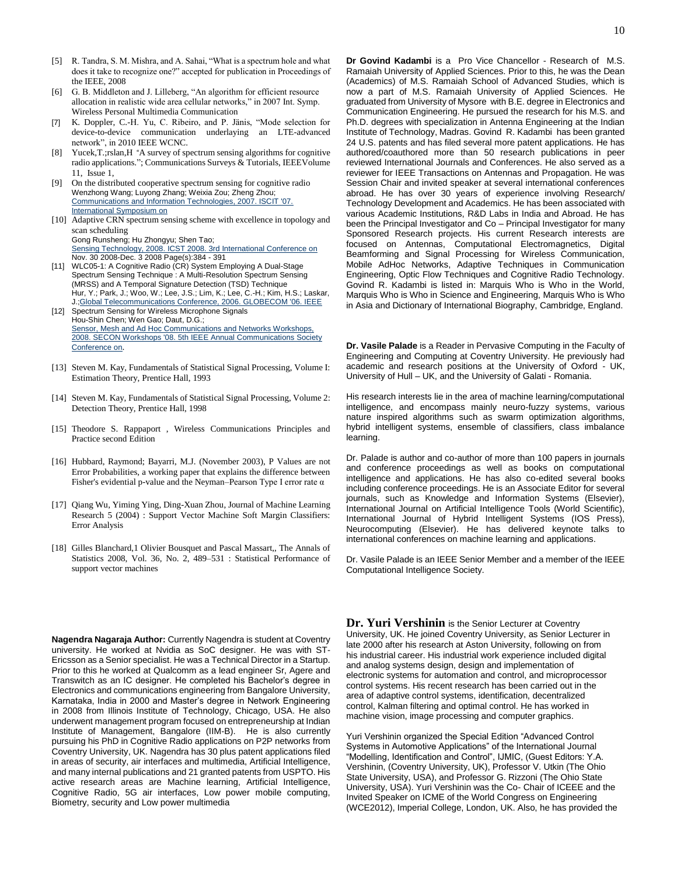- [5] R. Tandra, S. M. Mishra, and A. Sahai, "What is a spectrum hole and what does it take to recognize one?" accepted for publication in Proceedings of the IEEE, 2008
- [6] G. B. Middleton and J. Lilleberg, "An algorithm for efficient resource allocation in realistic wide area cellular networks," in 2007 Int. Symp. Wireless Personal Multimedia Communication
- [7] K. Doppler, C.-H. Yu, C. Ribeiro, and P. Jänis, "Mode selection for device-to-device communication underlaying an LTE-advanced network", in 2010 IEEE WCNC.
- [8] Yucek,T.;rslan,H "A survey of spectrum sensing algorithms for cognitive radio applications."; [Communications Surveys & Tutorials, IEEEV](http://ieeexplore.ieee.org/xpl/RecentIssue.jsp?punumber=9739)olume 11, [Issue 1,](http://ieeexplore.ieee.org/xpl/tocresult.jsp?isnumber=4796921)
- [9] On the distributed cooperative spectrum sensing for cognitive radio Wenzhong Wang; Luyong Zhang; Weixia Zou; Zheng Zhou; [Communications and Information Technologies, 2007. ISCIT '07.](http://ieeexplore.ieee.org/xpl/RecentCon.jsp?punumber=4391971)  [International Symposium on](http://ieeexplore.ieee.org/xpl/RecentCon.jsp?punumber=4391971)
- [10] Adaptive CRN spectrum sensing scheme with excellence in topology and scan scheduling Gong Runsheng; Hu Zhongyu; Shen Tao; [Sensing Technology, 2008. ICST 2008. 3rd International Conference on](http://ieeexplore.ieee.org/xpl/RecentCon.jsp?punumber=4745894) Nov. 30 2008-Dec. 3 2008 Page(s):384 - 391
- [11] WLC05-1: A Cognitive Radio (CR) System Employing A Dual-Stage Spectrum Sensing Technique : A Multi-Resolution Spectrum Sensing (MRSS) and A Temporal Signature Detection (TSD) Technique Hur, Y.; Park, J.; Woo, W.; Lee, J.S.; Lim, K.; Lee, C.-H.; Kim, H.S.; Laskar, J[.;Global Telecommunications Conference, 2006. GLOBECOM '06. IEEE](http://ieeexplore.ieee.org/xpl/RecentCon.jsp?punumber=4150629)
- [12] Spectrum Sensing for Wireless Microphone Signals Hou-Shin Chen; Wen Gao; Daut, D.G.; [Sensor, Mesh and Ad Hoc Communications and Networks Workshops,](http://ieeexplore.ieee.org/xpl/RecentCon.jsp?punumber=4567112)  [2008. SECON Workshops '08. 5th IEEE Annual Communications Society](http://ieeexplore.ieee.org/xpl/RecentCon.jsp?punumber=4567112)  [Conference on](http://ieeexplore.ieee.org/xpl/RecentCon.jsp?punumber=4567112).
- [13] Steven M. Kay, Fundamentals of Statistical Signal Processing, Volume I: Estimation Theory, Prentice Hall, 1993
- [14] Steven M. Kay, Fundamentals of Statistical Signal Processing, Volume 2: Detection Theory, Prentice Hall, 1998
- [15] Theodore S. Rappaport, Wireless Communications Principles and Practice second Edition
- [16] Hubbard, Raymond; Bayarri, M.J. (November 2003), P Values are not Error Probabilities, a working paper that explains the difference between Fisher's evidential p-value and the Neyman–Pearson Type I error rate  $\alpha$
- [17] Qiang Wu, Yiming Ying, Ding-Xuan Zhou, Journal of Machine Learning Research 5 (2004) : Support Vector Machine Soft Margin Classifiers: Error Analysis
- [18] Gilles Blanchard,1 Olivier Bousquet and Pascal Massart,, The Annals of Statistics 2008, Vol. 36, No. 2, 489–531 : Statistical Performance of support vector machines

**Nagendra Nagaraja Author:** Currently Nagendra is student at Coventry university. He worked at Nvidia as SoC designer. He was with ST-Ericsson as a Senior specialist. He was a Technical Director in a Startup. Prior to this he worked at Qualcomm as a lead engineer Sr, Agere and Transwitch as an IC designer. He completed his Bachelor's degree in Electronics and communications engineering from Bangalore University, Karnataka, India in 2000 and Master's degree in Network Engineering in 2008 from Illinois Institute of Technology, Chicago, USA. He also underwent management program focused on entrepreneurship at Indian Institute of Management, Bangalore (IIM-B). He is also currently pursuing his PhD in Cognitive Radio applications on P2P networks from Coventry University, UK. Nagendra has 30 plus patent applications filed in areas of security, air interfaces and multimedia, Artificial Intelligence, and many internal publications and 21 granted patents from USPTO. His active research areas are Machine learning, Artificial Intelligence, Cognitive Radio, 5G air interfaces, Low power mobile computing, Biometry, security and Low power multimedia

**Dr Govind Kadambi** is a Pro Vice Chancellor - Research of M.S. Ramaiah University of Applied Sciences. Prior to this, he was the Dean (Academics) of M.S. Ramaiah School of Advanced Studies, which is now a part of M.S. Ramaiah University of Applied Sciences. He graduated from University of Mysore with B.E. degree in Electronics and Communication Engineering. He pursued the research for his M.S. and Ph.D. degrees with specialization in Antenna Engineering at the Indian Institute of Technology, Madras. Govind R. Kadambi has been granted 24 U.S. patents and has filed several more patent applications. He has authored/coauthored more than 50 research publications in peer reviewed International Journals and Conferences. He also served as a reviewer for IEEE Transactions on Antennas and Propagation. He was Session Chair and invited speaker at several international conferences abroad. He has over 30 years of experience involving Research/ Technology Development and Academics. He has been associated with various Academic Institutions, R&D Labs in India and Abroad. He has been the Principal Investigator and Co – Principal Investigator for many Sponsored Research projects. His current Research interests are focused on Antennas, Computational Electromagnetics, Digital Beamforming and Signal Processing for Wireless Communication, Mobile AdHoc Networks, Adaptive Techniques in Communication Engineering, Optic Flow Techniques and Cognitive Radio Technology. Govind R. Kadambi is listed in: Marquis Who is Who in the World, Marquis Who is Who in Science and Engineering, Marquis Who is Who in Asia and Dictionary of International Biography, Cambridge, England.

**Dr. Vasile Palade** is a Reader in Pervasive Computing in the Faculty of Engineering and Computing at Coventry University. He previously had academic and research positions at the University of Oxford - UK, University of Hull – UK, and the University of Galati - Romania.

His research interests lie in the area of machine learning/computational intelligence, and encompass mainly neuro-fuzzy systems, various nature inspired algorithms such as swarm optimization algorithms, hybrid intelligent systems, ensemble of classifiers, class imbalance learning.

Dr. Palade is author and co-author of more than 100 papers in journals and conference proceedings as well as books on computational intelligence and applications. He has also co-edited several books including conference proceedings. He is an Associate Editor for several journals, such as Knowledge and Information Systems (Elsevier), International Journal on Artificial Intelligence Tools (World Scientific), International Journal of Hybrid Intelligent Systems (IOS Press), Neurocomputing (Elsevier). He has delivered keynote talks to international conferences on machine learning and applications.

Dr. Vasile Palade is an IEEE Senior Member and a member of the IEEE Computational Intelligence Society.

**Dr. Yuri Vershinin** is the Senior Lecturer at Coventry University, UK. He joined Coventry University, as Senior Lecturer in late 2000 after his research at Aston University, following on from his industrial career. His industrial work experience included digital and analog systems design, design and implementation of electronic systems for automation and control, and microprocessor control systems. His recent research has been carried out in the area of adaptive control systems, identification, decentralized control, Kalman filtering and optimal control. He has worked in machine vision, image processing and computer graphics.

Yuri Vershinin organized the Special Edition "Advanced Control Systems in Automotive Applications" of the International Journal "Modelling, Identification and Control", IJMIC, (Guest Editors: Y.A. Vershinin, (Coventry University, UK), Professor V. Utkin (The Ohio State University, USA), and Professor G. Rizzoni (The Ohio State University, USA). Yuri Vershinin was the Co- Chair of ICEEE and the Invited Speaker on ICME of the World Congress on Engineering (WCE2012), Imperial College, London, UK. Also, he has provided the